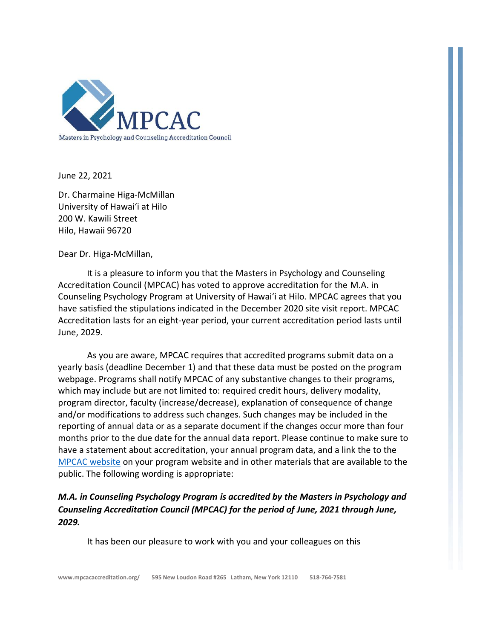

June 22, 2021

Dr. Charmaine Higa-McMillan University of Hawai'i at Hilo 200 W. Kawili Street Hilo, Hawaii 96720

Dear Dr. Higa-McMillan,

It is a pleasure to inform you that the Masters in Psychology and Counseling Accreditation Council (MPCAC) has voted to approve accreditation for the M.A. in Counseling Psychology Program at University of Hawai'i at Hilo. MPCAC agrees that you have satisfied the stipulations indicated in the December 2020 site visit report. MPCAC Accreditation lasts for an eight-year period, your current accreditation period lasts until June, 2029.

As you are aware, MPCAC requires that accredited programs submit data on a yearly basis (deadline December 1) and that these data must be posted on the program webpage. Programs shall notify MPCAC of any substantive changes to their programs, which may include but are not limited to: required credit hours, delivery modality, program director, faculty (increase/decrease), explanation of consequence of change and/or modifications to address such changes. Such changes may be included in the reporting of annual data or as a separate document if the changes occur more than four months prior to the due date for the annual data report. Please continue to make sure to have a statement about accreditation, your annual program data, and a link the to the [MPCAC website](http://mpcacaccreditation.org/) on your program website and in other materials that are available to the public. The following wording is appropriate:

## *M.A. in Counseling Psychology Program is accredited by the Masters in Psychology and Counseling Accreditation Council (MPCAC) for the period of June, 2021 through June, 2029.*

It has been our pleasure to work with you and your colleagues on this